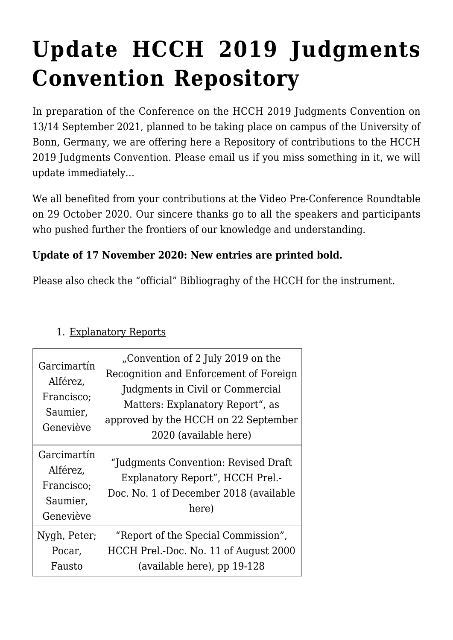## **[Update HCCH 2019 Judgments](https://conflictoflaws.net/2020/update-hcch-2019-judgments-convention-repository-3/) [Convention Repository](https://conflictoflaws.net/2020/update-hcch-2019-judgments-convention-repository-3/)**

In preparation of the [Conference on the HCCH 2019 Judgments Convention](https://www.jura.uni-bonn.de/professur-prof-dr-weller/video-roundtable-on-29-october-2020-and-conference-on-the-hcch-2019-judgments-convention-on-13-and-14-september-2021/) on 13/14 September 2021, planned to be taking place on campus of the University of Bonn, Germany, we are offering here a Repository of contributions to the HCCH 2019 Judgments Convention. Please [email us](mailto:weller@jura.uni-bonn.de) if you miss something in it, we will update immediately…

We all benefited from your contributions at the [Video Pre-Conference Roundtable](https://www.jura.uni-bonn.de/professur-prof-dr-weller/video-roundtable-on-29-october-2020-and-conference-on-the-hcch-2019-judgments-convention-on-13-and-14-september-2021/) on 29 October 2020. Our sincere thanks go to all the speakers and participants who pushed further the frontiers of our knowledge and understanding.

## **Update of 17 November 2020: New entries are printed bold.**

Please also check the "official" [Bibliograghy](https://www.hcch.net/en/instruments/conventions/publications1/?dtid=1&cid=137) of the HCCH for the instrument.

| Garcimartín<br>Alférez,<br>Francisco;<br>Saumier,<br>Geneviève | "Convention of 2 July 2019 on the<br>Recognition and Enforcement of Foreign<br>Judgments in Civil or Commercial<br>Matters: Explanatory Report", as<br>approved by the HCCH on 22 September<br>2020 (available here) |
|----------------------------------------------------------------|----------------------------------------------------------------------------------------------------------------------------------------------------------------------------------------------------------------------|
| Garcimartín<br>Alférez,<br>Francisco:<br>Saumier,<br>Geneviève | "Judgments Convention: Revised Draft"<br>Explanatory Report", HCCH Prel.-<br>Doc. No. 1 of December 2018 (available<br>here)                                                                                         |
| Nygh, Peter;<br>Pocar,<br>Fausto                               | "Report of the Special Commission",<br>HCCH Prel.-Doc. No. 11 of August 2000<br>(available here), pp 19-128                                                                                                          |

## 1. Explanatory Reports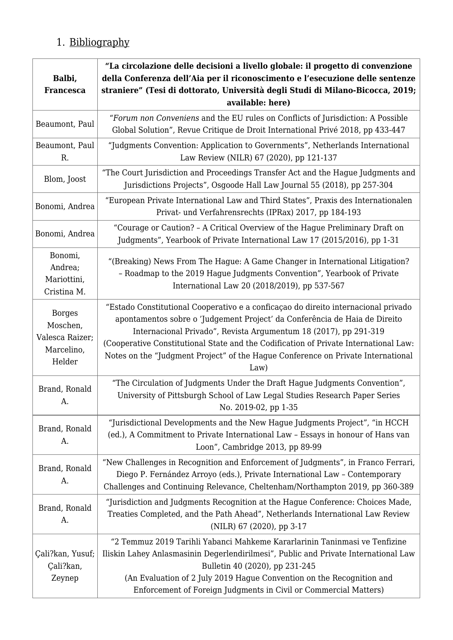## 1. Bibliography

| Balbi,<br><b>Francesca</b>                                           | "La circolazione delle decisioni a livello globale: il progetto di convenzione<br>della Conferenza dell'Aia per il riconoscimento e l'esecuzione delle sentenze<br>straniere" (Tesi di dottorato, Università degli Studi di Milano-Bicocca, 2019;<br>available: here)                                                                                                                                                    |
|----------------------------------------------------------------------|--------------------------------------------------------------------------------------------------------------------------------------------------------------------------------------------------------------------------------------------------------------------------------------------------------------------------------------------------------------------------------------------------------------------------|
| Beaumont, Paul                                                       | "Forum non Conveniens and the EU rules on Conflicts of Jurisdiction: A Possible<br>Global Solution", Revue Critique de Droit International Privé 2018, pp 433-447                                                                                                                                                                                                                                                        |
| Beaumont, Paul<br>R.                                                 | "Judgments Convention: Application to Governments", Netherlands International<br>Law Review (NILR) 67 (2020), pp 121-137                                                                                                                                                                                                                                                                                                 |
| Blom, Joost                                                          | "The Court Jurisdiction and Proceedings Transfer Act and the Hague Judgments and<br>Jurisdictions Projects", Osgoode Hall Law Journal 55 (2018), pp 257-304                                                                                                                                                                                                                                                              |
| Bonomi, Andrea                                                       | "European Private International Law and Third States", Praxis des Internationalen<br>Privat- und Verfahrensrechts (IPRax) 2017, pp 184-193                                                                                                                                                                                                                                                                               |
| Bonomi, Andrea                                                       | "Courage or Caution? - A Critical Overview of the Hague Preliminary Draft on<br>Judgments", Yearbook of Private International Law 17 (2015/2016), pp 1-31                                                                                                                                                                                                                                                                |
| Bonomi,<br>Andrea;<br>Mariottini,<br>Cristina M.                     | "(Breaking) News From The Hague: A Game Changer in International Litigation?<br>- Roadmap to the 2019 Hague Judgments Convention", Yearbook of Private<br>International Law 20 (2018/2019), pp 537-567                                                                                                                                                                                                                   |
| <b>Borges</b><br>Moschen,<br>Valesca Raizer;<br>Marcelino,<br>Helder | "Estado Constitutional Cooperativo e a conficação do direito internacional privado<br>apontamentos sobre o 'Judgement Project' da Conferência de Haia de Direito<br>Internacional Privado", Revista Argumentum 18 (2017), pp 291-319<br>(Cooperative Constitutional State and the Codification of Private International Law:<br>Notes on the "Judgment Project" of the Hague Conference on Private International<br>Law) |
| Brand, Ronald<br>A.                                                  | "The Circulation of Judgments Under the Draft Hague Judgments Convention",<br>University of Pittsburgh School of Law Legal Studies Research Paper Series<br>No. 2019-02, pp 1-35                                                                                                                                                                                                                                         |
| Brand, Ronald<br>A.                                                  | "Jurisdictional Developments and the New Hague Judgments Project", "in HCCH<br>(ed.), A Commitment to Private International Law - Essays in honour of Hans van<br>Loon", Cambridge 2013, pp 89-99                                                                                                                                                                                                                        |
| Brand, Ronald<br>A.                                                  | "New Challenges in Recognition and Enforcement of Judgments", in Franco Ferrari,<br>Diego P. Fernández Arroyo (eds.), Private International Law - Contemporary<br>Challenges and Continuing Relevance, Cheltenham/Northampton 2019, pp 360-389                                                                                                                                                                           |
| Brand, Ronald<br>A.                                                  | "Jurisdiction and Judgments Recognition at the Hague Conference: Choices Made,<br>Treaties Completed, and the Path Ahead", Netherlands International Law Review<br>(NILR) 67 (2020), pp 3-17                                                                                                                                                                                                                             |
| Çali?kan, Yusuf;<br>Çali?kan,<br>Zeynep                              | "2 Temmuz 2019 Tarihli Yabanci Mahkeme Kararlarinin Taninmasi ve Tenfizine<br>Iliskin Lahey Anlasmasinin Degerlendirilmesi", Public and Private International Law<br>Bulletin 40 (2020), pp 231-245<br>(An Evaluation of 2 July 2019 Hague Convention on the Recognition and<br>Enforcement of Foreign Judgments in Civil or Commercial Matters)                                                                         |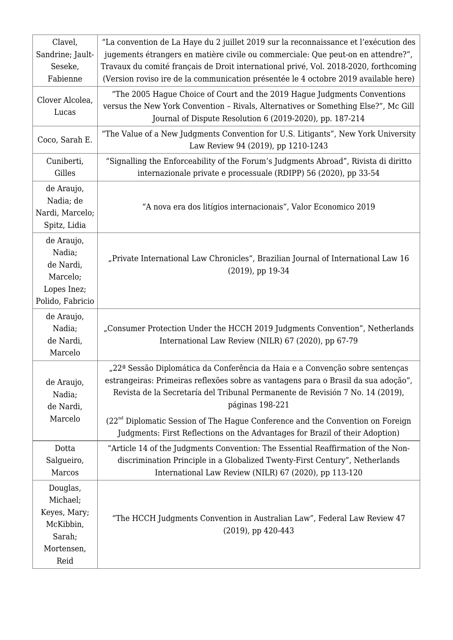| Clavel,                                                                           | "La convention de La Haye du 2 juillet 2019 sur la reconnaissance et l'exécution des                                                                                                                                                                                   |
|-----------------------------------------------------------------------------------|------------------------------------------------------------------------------------------------------------------------------------------------------------------------------------------------------------------------------------------------------------------------|
| Sandrine; Jault-                                                                  | jugements étrangers en matière civile ou commerciale: Que peut-on en attendre?",                                                                                                                                                                                       |
| Seseke,                                                                           | Travaux du comité français de Droit international privé, Vol. 2018-2020, forthcoming                                                                                                                                                                                   |
| Fabienne                                                                          | (Version roviso ire de la communication présentée le 4 octobre 2019 available here)                                                                                                                                                                                    |
| Clover Alcolea,<br>Lucas                                                          | "The 2005 Hague Choice of Court and the 2019 Hague Judgments Conventions<br>versus the New York Convention - Rivals, Alternatives or Something Else?", Mc Gill<br>Journal of Dispute Resolution 6 (2019-2020), pp. 187-214                                             |
| Coco, Sarah E.                                                                    | "The Value of a New Judgments Convention for U.S. Litigants", New York University<br>Law Review 94 (2019), pp 1210-1243                                                                                                                                                |
| Cuniberti,                                                                        | "Signalling the Enforceability of the Forum's Judgments Abroad", Rivista di diritto                                                                                                                                                                                    |
| Gilles                                                                            | internazionale private e processuale (RDIPP) 56 (2020), pp 33-54                                                                                                                                                                                                       |
| de Araujo,<br>Nadia; de<br>Nardi, Marcelo;<br>Spitz, Lidia                        | "A nova era dos litígios internacionais", Valor Economico 2019                                                                                                                                                                                                         |
| de Araujo,<br>Nadia;<br>de Nardi,<br>Marcelo;<br>Lopes Inez;<br>Polido, Fabricio  | "Private International Law Chronicles", Brazilian Journal of International Law 16<br>$(2019)$ , pp 19-34                                                                                                                                                               |
| de Araujo,<br>Nadia;<br>de Nardi,<br>Marcelo                                      | "Consumer Protection Under the HCCH 2019 Judgments Convention", Netherlands<br>International Law Review (NILR) 67 (2020), pp 67-79                                                                                                                                     |
| de Araujo,<br>Nadia;<br>de Nardi,                                                 | "22ª Sessão Diplomática da Conferência da Haia e a Convenção sobre sentenças<br>estrangeiras: Primeiras reflexões sobre as vantagens para o Brasil da sua adoção",<br>Revista de la Secretaría del Tribunal Permanente de Revisión 7 No. 14 (2019),<br>páginas 198-221 |
| Marcelo                                                                           | $(22nd$ Diplomatic Session of The Hague Conference and the Convention on Foreign<br>Judgments: First Reflections on the Advantages for Brazil of their Adoption)                                                                                                       |
| Dotta<br>Salgueiro,<br>Marcos                                                     | "Article 14 of the Judgments Convention: The Essential Reaffirmation of the Non-<br>discrimination Principle in a Globalized Twenty-First Century", Netherlands<br>International Law Review (NILR) 67 (2020), pp 113-120                                               |
| Douglas,<br>Michael;<br>Keyes, Mary;<br>McKibbin,<br>Sarah;<br>Mortensen,<br>Reid | "The HCCH Judgments Convention in Australian Law", Federal Law Review 47<br>(2019), pp 420-443                                                                                                                                                                         |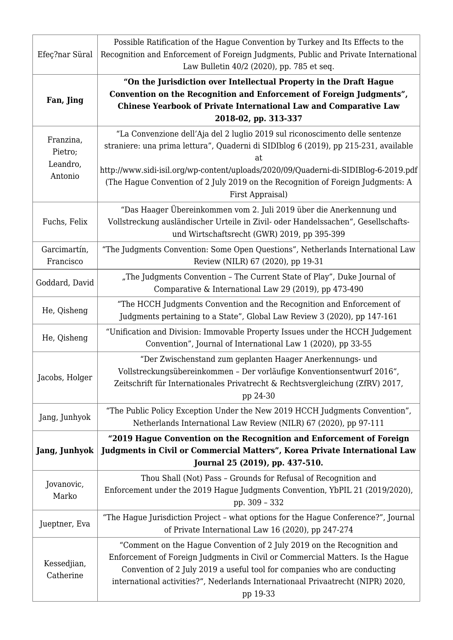| Efeç?nar Süral                              | Possible Ratification of the Hague Convention by Turkey and Its Effects to the<br>Recognition and Enforcement of Foreign Judgments, Public and Private International                                                                                                                                                                                                    |
|---------------------------------------------|-------------------------------------------------------------------------------------------------------------------------------------------------------------------------------------------------------------------------------------------------------------------------------------------------------------------------------------------------------------------------|
|                                             | Law Bulletin 40/2 (2020), pp. 785 et seq.<br>"On the Jurisdiction over Intellectual Property in the Draft Hague                                                                                                                                                                                                                                                         |
| Fan, Jing                                   | Convention on the Recognition and Enforcement of Foreign Judgments",<br><b>Chinese Yearbook of Private International Law and Comparative Law</b><br>2018-02, pp. 313-337                                                                                                                                                                                                |
| Franzina,<br>Pietro;<br>Leandro,<br>Antonio | "La Convenzione dell'Aja del 2 luglio 2019 sul riconoscimento delle sentenze<br>straniere: una prima lettura", Quaderni di SIDIblog 6 (2019), pp 215-231, available<br>at<br>http://www.sidi-isil.org/wp-content/uploads/2020/09/Quaderni-di-SIDIBlog-6-2019.pdf<br>(The Hague Convention of 2 July 2019 on the Recognition of Foreign Judgments: A<br>First Appraisal) |
| Fuchs, Felix                                | "Das Haager Übereinkommen vom 2. Juli 2019 über die Anerkennung und<br>Vollstreckung ausländischer Urteile in Zivil- oder Handelssachen", Gesellschafts-<br>und Wirtschaftsrecht (GWR) 2019, pp 395-399                                                                                                                                                                 |
| Garcimartín,<br>Francisco                   | "The Judgments Convention: Some Open Questions", Netherlands International Law<br>Review (NILR) 67 (2020), pp 19-31                                                                                                                                                                                                                                                     |
| Goddard, David                              | "The Judgments Convention - The Current State of Play", Duke Journal of<br>Comparative & International Law 29 (2019), pp 473-490                                                                                                                                                                                                                                        |
| He, Qisheng                                 | "The HCCH Judgments Convention and the Recognition and Enforcement of<br>Judgments pertaining to a State", Global Law Review 3 (2020), pp 147-161                                                                                                                                                                                                                       |
| He, Qisheng                                 | "Unification and Division: Immovable Property Issues under the HCCH Judgement<br>Convention", Journal of International Law 1 (2020), pp 33-55                                                                                                                                                                                                                           |
| Jacobs, Holger                              | "Der Zwischenstand zum geplanten Haager Anerkennungs- und<br>Vollstreckungsübereinkommen - Der vorläufige Konventionsentwurf 2016",<br>Zeitschrift für Internationales Privatrecht & Rechtsvergleichung (ZfRV) 2017,<br>pp 24-30                                                                                                                                        |
| Jang, Junhyok                               | "The Public Policy Exception Under the New 2019 HCCH Judgments Convention",<br>Netherlands International Law Review (NILR) 67 (2020), pp 97-111                                                                                                                                                                                                                         |
| <b>Jang, Junhyok</b>                        | "2019 Hague Convention on the Recognition and Enforcement of Foreign<br>Judgments in Civil or Commercial Matters", Korea Private International Law<br>Journal 25 (2019), pp. 437-510.                                                                                                                                                                                   |
| Jovanovic,<br>Marko                         | Thou Shall (Not) Pass - Grounds for Refusal of Recognition and<br>Enforcement under the 2019 Hague Judgments Convention, YbPIL 21 (2019/2020),<br>pp. 309 - 332                                                                                                                                                                                                         |
| Jueptner, Eva                               | "The Hague Jurisdiction Project - what options for the Hague Conference?", Journal<br>of Private International Law 16 (2020), pp 247-274                                                                                                                                                                                                                                |
| Kessedjian,<br>Catherine                    | "Comment on the Hague Convention of 2 July 2019 on the Recognition and<br>Enforcement of Foreign Judgments in Civil or Commercial Matters. Is the Hague<br>Convention of 2 July 2019 a useful tool for companies who are conducting<br>international activities?", Nederlands Internationaal Privaatrecht (NIPR) 2020,<br>pp 19-33                                      |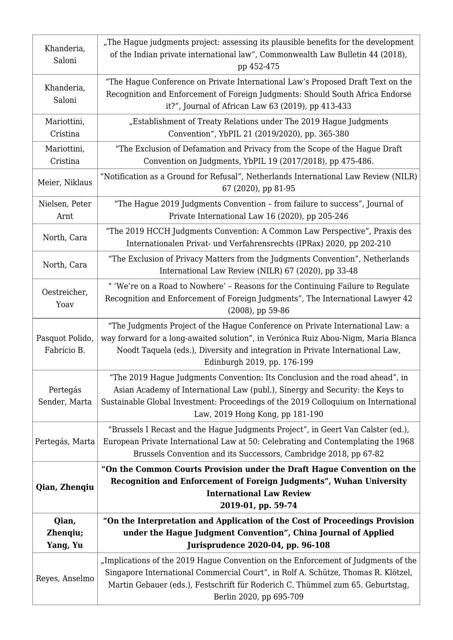| Khanderia,<br>Saloni           | "The Hague judgments project: assessing its plausible benefits for the development<br>of the Indian private international law", Commonwealth Law Bulletin 44 (2018),<br>pp 452-475                                                                                                     |
|--------------------------------|----------------------------------------------------------------------------------------------------------------------------------------------------------------------------------------------------------------------------------------------------------------------------------------|
| Khanderia,<br>Saloni           | "The Hague Conference on Private International Law's Proposed Draft Text on the<br>Recognition and Enforcement of Foreign Judgments: Should South Africa Endorse<br>it?", Journal of African Law 63 (2019), pp 413-433                                                                 |
| Mariottini,<br>Cristina        | "Establishment of Treaty Relations under The 2019 Hague Judgments<br>Convention", YbPIL 21 (2019/2020), pp. 365-380                                                                                                                                                                    |
| Mariottini,<br>Cristina        | "The Exclusion of Defamation and Privacy from the Scope of the Hague Draft<br>Convention on Judgments, YbPIL 19 (2017/2018), pp 475-486.                                                                                                                                               |
| Meier, Niklaus                 | "Notification as a Ground for Refusal", Netherlands International Law Review (NILR)<br>67 (2020), pp 81-95                                                                                                                                                                             |
| Nielsen, Peter<br>Arnt         | "The Hague 2019 Judgments Convention - from failure to success", Journal of<br>Private International Law 16 (2020), pp 205-246                                                                                                                                                         |
| North, Cara                    | "The 2019 HCCH Judgments Convention: A Common Law Perspective", Praxis des<br>Internationalen Privat- und Verfahrensrechts (IPRax) 2020, pp 202-210                                                                                                                                    |
| North, Cara                    | "The Exclusion of Privacy Matters from the Judgments Convention", Netherlands<br>International Law Review (NILR) 67 (2020), pp 33-48                                                                                                                                                   |
| Oestreicher,<br>Yoav           | " 'We're on a Road to Nowhere' - Reasons for the Continuing Failure to Regulate<br>Recognition and Enforcement of Foreign Judgments", The International Lawyer 42<br>$(2008)$ , pp 59-86                                                                                               |
| Pasquot Polido,<br>Fabrício B. | "The Judgments Project of the Hague Conference on Private International Law: a<br>way forward for a long-awaited solution", in Verónica Ruiz Abou-Nigm, Maria Blanca<br>Noodt Taquela (eds.), Diversity and integration in Private International Law,<br>Edinburgh 2019, pp. 176-199   |
| Pertegás<br>Sender, Marta      | "The 2019 Hague Judgments Convention: Its Conclusion and the road ahead", in<br>Asian Academy of International Law (publ.), Sinergy and Security: the Keys to<br>Sustainable Global Investment: Proceedings of the 2019 Colloquium on International<br>Law, 2019 Hong Kong, pp 181-190 |
| Pertegás, Marta                | "Brussels I Recast and the Hague Judgments Project", in Geert Van Calster (ed.),<br>European Private International Law at 50: Celebrating and Contemplating the 1968<br>Brussels Convention and its Successors, Cambridge 2018, pp 67-82                                               |
| Qian, Zhenqiu                  | "On the Common Courts Provision under the Draft Hague Convention on the<br>Recognition and Enforcement of Foreign Judgments", Wuhan University<br><b>International Law Review</b><br>2019-01, pp. 59-74                                                                                |
| Qian,<br>Zhenqiu;<br>Yang, Yu  | "On the Interpretation and Application of the Cost of Proceedings Provision<br>under the Hague Judgment Convention", China Journal of Applied<br>Jurisprudence 2020-04, pp. 96-108                                                                                                     |
| Reyes, Anselmo                 | "Implications of the 2019 Hague Convention on the Enforcement of Judgments of the<br>Singapore International Commercial Court", in Rolf A. Schütze, Thomas R. Klötzel,<br>Martin Gebauer (eds.), Festschrift für Roderich C. Thümmel zum 65. Geburtstag,<br>Berlin 2020, pp 695-709    |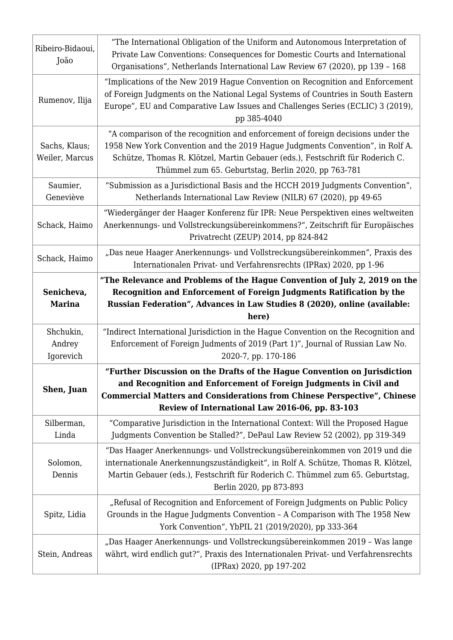| Ribeiro-Bidaoui,<br>João         | "The International Obligation of the Uniform and Autonomous Interpretation of<br>Private Law Conventions: Consequences for Domestic Courts and International<br>Organisations", Netherlands International Law Review 67 (2020), pp 139 - 168                                                              |
|----------------------------------|-----------------------------------------------------------------------------------------------------------------------------------------------------------------------------------------------------------------------------------------------------------------------------------------------------------|
| Rumenov, Ilija                   | "Implications of the New 2019 Hague Convention on Recognition and Enforcement<br>of Foreign Judgments on the National Legal Systems of Countries in South Eastern<br>Europe", EU and Comparative Law Issues and Challenges Series (ECLIC) 3 (2019),<br>pp 385-4040                                        |
| Sachs, Klaus;<br>Weiler, Marcus  | "A comparison of the recognition and enforcement of foreign decisions under the<br>1958 New York Convention and the 2019 Hague Judgments Convention", in Rolf A.<br>Schütze, Thomas R. Klötzel, Martin Gebauer (eds.), Festschrift für Roderich C.<br>Thümmel zum 65. Geburtstag, Berlin 2020, pp 763-781 |
| Saumier,<br>Geneviève            | "Submission as a Jurisdictional Basis and the HCCH 2019 Judgments Convention",<br>Netherlands International Law Review (NILR) 67 (2020), pp 49-65                                                                                                                                                         |
| Schack, Haimo                    | "Wiedergänger der Haager Konferenz für IPR: Neue Perspektiven eines weltweiten<br>Anerkennungs- und Vollstreckungsübereinkommens?", Zeitschrift für Europäisches<br>Privatrecht (ZEUP) 2014, pp 824-842                                                                                                   |
| Schack, Haimo                    | "Das neue Haager Anerkennungs- und Vollstreckungsübereinkommen", Praxis des<br>Internationalen Privat- und Verfahrensrechts (IPRax) 2020, pp 1-96                                                                                                                                                         |
| Senicheva,<br><b>Marina</b>      | "The Relevance and Problems of the Hague Convention of July 2, 2019 on the<br>Recognition and Enforcement of Foreign Judgments Ratification by the<br>Russian Federation", Advances in Law Studies 8 (2020), online (available:                                                                           |
|                                  | here)                                                                                                                                                                                                                                                                                                     |
| Shchukin,<br>Andrey<br>Igorevich | "Indirect International Jurisdiction in the Hague Convention on the Recognition and<br>Enforcement of Foreign Judments of 2019 (Part 1)", Journal of Russian Law No.<br>2020-7, pp. 170-186                                                                                                               |
| Shen, Juan                       | "Further Discussion on the Drafts of the Hague Convention on Jurisdiction<br>and Recognition and Enforcement of Foreign Judgments in Civil and<br><b>Commercial Matters and Considerations from Chinese Perspective", Chinese</b><br>Review of International Law 2016-06, pp. 83-103                      |
| Silberman,<br>Linda              | "Comparative Jurisdiction in the International Context: Will the Proposed Hague<br>Judgments Convention be Stalled?", DePaul Law Review 52 (2002), pp 319-349                                                                                                                                             |
| Solomon,<br>Dennis               | "Das Haager Anerkennungs- und Vollstreckungsübereinkommen von 2019 und die<br>internationale Anerkennungszuständigkeit", in Rolf A. Schütze, Thomas R. Klötzel,<br>Martin Gebauer (eds.), Festschrift für Roderich C. Thümmel zum 65. Geburtstag,<br>Berlin 2020, pp 873-893                              |
| Spitz, Lidia                     | "Refusal of Recognition and Enforcement of Foreign Judgments on Public Policy<br>Grounds in the Hague Judgments Convention - A Comparison with The 1958 New<br>York Convention", YbPIL 21 (2019/2020), pp 333-364                                                                                         |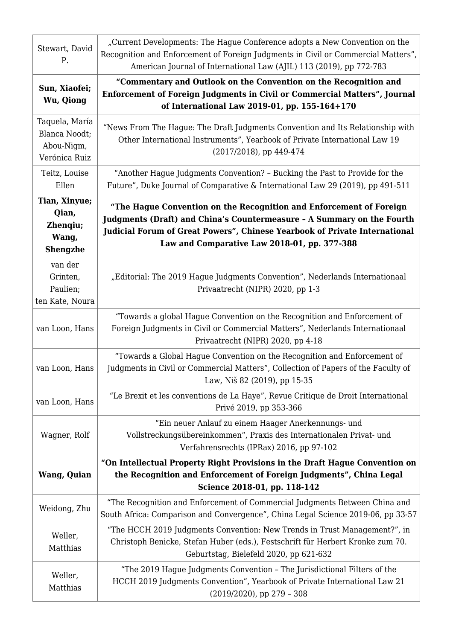| Stewart, David<br>Ρ.                                           | "Current Developments: The Hague Conference adopts a New Convention on the<br>Recognition and Enforcement of Foreign Judgments in Civil or Commercial Matters",<br>American Journal of International Law (AJIL) 113 (2019), pp 772-783                                      |
|----------------------------------------------------------------|-----------------------------------------------------------------------------------------------------------------------------------------------------------------------------------------------------------------------------------------------------------------------------|
| Sun, Xiaofei;<br>Wu, Qiong                                     | "Commentary and Outlook on the Convention on the Recognition and<br>Enforcement of Foreign Judgments in Civil or Commercial Matters", Journal<br>of International Law 2019-01, pp. 155-164+170                                                                              |
| Taquela, María<br>Blanca Noodt;<br>Abou-Nigm,<br>Verónica Ruiz | "News From The Hague: The Draft Judgments Convention and Its Relationship with<br>Other International Instruments", Yearbook of Private International Law 19<br>(2017/2018), pp 449-474                                                                                     |
| Teitz, Louise<br>Ellen                                         | "Another Hague Judgments Convention? - Bucking the Past to Provide for the<br>Future", Duke Journal of Comparative & International Law 29 (2019), pp 491-511                                                                                                                |
| Tian, Xinyue;<br>Qian,<br>Zhenqiu;<br>Wang,<br><b>Shengzhe</b> | "The Hague Convention on the Recognition and Enforcement of Foreign<br>Judgments (Draft) and China's Countermeasure - A Summary on the Fourth<br>Judicial Forum of Great Powers", Chinese Yearbook of Private International<br>Law and Comparative Law 2018-01, pp. 377-388 |
| van der<br>Grinten,<br>Paulien;<br>ten Kate, Noura             | "Editorial: The 2019 Hague Judgments Convention", Nederlands Internationaal<br>Privaatrecht (NIPR) 2020, pp 1-3                                                                                                                                                             |
| van Loon, Hans                                                 | "Towards a global Hague Convention on the Recognition and Enforcement of<br>Foreign Judgments in Civil or Commercial Matters", Nederlands Internationaal<br>Privaatrecht (NIPR) 2020, pp 4-18                                                                               |
| van Loon, Hans                                                 | "Towards a Global Hague Convention on the Recognition and Enforcement of<br>Judgments in Civil or Commercial Matters", Collection of Papers of the Faculty of<br>Law, Niš 82 (2019), pp 15-35                                                                               |
| van Loon, Hans                                                 | "Le Brexit et les conventions de La Haye", Revue Critique de Droit International<br>Privé 2019, pp 353-366                                                                                                                                                                  |
| Wagner, Rolf                                                   | "Ein neuer Anlauf zu einem Haager Anerkennungs- und<br>Vollstreckungsübereinkommen", Praxis des Internationalen Privat- und<br>Verfahrensrechts (IPRax) 2016, pp 97-102                                                                                                     |
| <b>Wang, Quian</b>                                             | "On Intellectual Property Right Provisions in the Draft Hague Convention on<br>the Recognition and Enforcement of Foreign Judgments", China Legal<br>Science 2018-01, pp. 118-142                                                                                           |
| Weidong, Zhu                                                   | "The Recognition and Enforcement of Commercial Judgments Between China and<br>South Africa: Comparison and Convergence", China Legal Science 2019-06, pp 33-57                                                                                                              |
| Weller,<br>Matthias                                            | "The HCCH 2019 Judgments Convention: New Trends in Trust Management?", in<br>Christoph Benicke, Stefan Huber (eds.), Festschrift für Herbert Kronke zum 70.<br>Geburtstag, Bielefeld 2020, pp 621-632                                                                       |
| Weller,<br>Matthias                                            | "The 2019 Hague Judgments Convention - The Jurisdictional Filters of the<br>HCCH 2019 Judgments Convention", Yearbook of Private International Law 21<br>$(2019/2020)$ , pp 279 - 308                                                                                       |